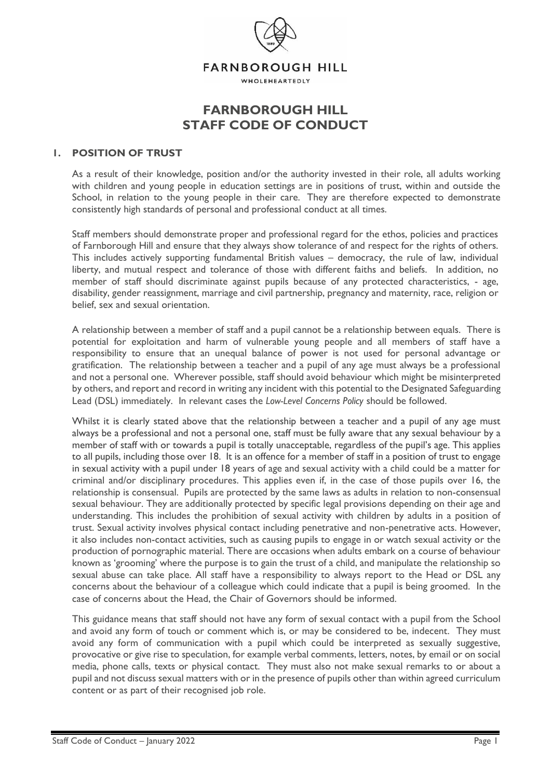

# **FARNBOROUGH HILL STAFF CODE OF CONDUCT**

#### **1. POSITION OF TRUST**

As a result of their knowledge, position and/or the authority invested in their role, all adults working with children and young people in education settings are in positions of trust, within and outside the School, in relation to the young people in their care. They are therefore expected to demonstrate consistently high standards of personal and professional conduct at all times.

Staff members should demonstrate proper and professional regard for the ethos, policies and practices of Farnborough Hill and ensure that they always show tolerance of and respect for the rights of others. This includes actively supporting fundamental British values – democracy, the rule of law, individual liberty, and mutual respect and tolerance of those with different faiths and beliefs. In addition, no member of staff should discriminate against pupils because of any protected characteristics, - age, disability, gender reassignment, marriage and civil partnership, pregnancy and maternity, race, religion or belief, sex and sexual orientation.

A relationship between a member of staff and a pupil cannot be a relationship between equals. There is potential for exploitation and harm of vulnerable young people and all members of staff have a responsibility to ensure that an unequal balance of power is not used for personal advantage or gratification. The relationship between a teacher and a pupil of any age must always be a professional and not a personal one. Wherever possible, staff should avoid behaviour which might be misinterpreted by others, and report and record in writing any incident with this potential to the Designated Safeguarding Lead (DSL) immediately. In relevant cases the *Low-Level Concerns Policy* should be followed.

Whilst it is clearly stated above that the relationship between a teacher and a pupil of any age must always be a professional and not a personal one, staff must be fully aware that any sexual behaviour by a member of staff with or towards a pupil is totally unacceptable, regardless of the pupil's age. This applies to all pupils, including those over 18. It is an offence for a member of staff in a position of trust to engage in sexual activity with a pupil under 18 years of age and sexual activity with a child could be a matter for criminal and/or disciplinary procedures. This applies even if, in the case of those pupils over 16, the relationship is consensual. Pupils are protected by the same laws as adults in relation to non-consensual sexual behaviour. They are additionally protected by specific legal provisions depending on their age and understanding. This includes the prohibition of sexual activity with children by adults in a position of trust. Sexual activity involves physical contact including penetrative and non-penetrative acts. However, it also includes non-contact activities, such as causing pupils to engage in or watch sexual activity or the production of pornographic material. There are occasions when adults embark on a course of behaviour known as 'grooming' where the purpose is to gain the trust of a child, and manipulate the relationship so sexual abuse can take place. All staff have a responsibility to always report to the Head or DSL any concerns about the behaviour of a colleague which could indicate that a pupil is being groomed. In the case of concerns about the Head, the Chair of Governors should be informed.

This guidance means that staff should not have any form of sexual contact with a pupil from the School and avoid any form of touch or comment which is, or may be considered to be, indecent. They must avoid any form of communication with a pupil which could be interpreted as sexually suggestive, provocative or give rise to speculation, for example verbal comments, letters, notes, by email or on social media, phone calls, texts or physical contact. They must also not make sexual remarks to or about a pupil and not discuss sexual matters with or in the presence of pupils other than within agreed curriculum content or as part of their recognised job role.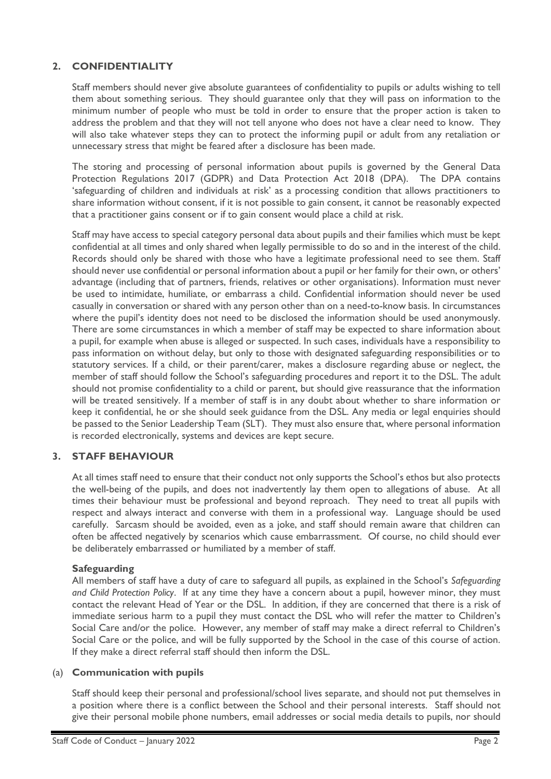## **2. CONFIDENTIALITY**

Staff members should never give absolute guarantees of confidentiality to pupils or adults wishing to tell them about something serious. They should guarantee only that they will pass on information to the minimum number of people who must be told in order to ensure that the proper action is taken to address the problem and that they will not tell anyone who does not have a clear need to know. They will also take whatever steps they can to protect the informing pupil or adult from any retaliation or unnecessary stress that might be feared after a disclosure has been made.

The storing and processing of personal information about pupils is governed by the General Data Protection Regulations 2017 (GDPR) and Data Protection Act 2018 (DPA). The DPA contains 'safeguarding of children and individuals at risk' as a processing condition that allows practitioners to share information without consent, if it is not possible to gain consent, it cannot be reasonably expected that a practitioner gains consent or if to gain consent would place a child at risk.

Staff may have access to special category personal data about pupils and their families which must be kept confidential at all times and only shared when legally permissible to do so and in the interest of the child. Records should only be shared with those who have a legitimate professional need to see them. Staff should never use confidential or personal information about a pupil or her family for their own, or others' advantage (including that of partners, friends, relatives or other organisations). Information must never be used to intimidate, humiliate, or embarrass a child. Confidential information should never be used casually in conversation or shared with any person other than on a need-to-know basis. In circumstances where the pupil's identity does not need to be disclosed the information should be used anonymously. There are some circumstances in which a member of staff may be expected to share information about a pupil, for example when abuse is alleged or suspected. In such cases, individuals have a responsibility to pass information on without delay, but only to those with designated safeguarding responsibilities or to statutory services. If a child, or their parent/carer, makes a disclosure regarding abuse or neglect, the member of staff should follow the School's safeguarding procedures and report it to the DSL. The adult should not promise confidentiality to a child or parent, but should give reassurance that the information will be treated sensitively. If a member of staff is in any doubt about whether to share information or keep it confidential, he or she should seek guidance from the DSL. Any media or legal enquiries should be passed to the Senior Leadership Team (SLT). They must also ensure that, where personal information is recorded electronically, systems and devices are kept secure.

## **3. STAFF BEHAVIOUR**

At all times staff need to ensure that their conduct not only supports the School's ethos but also protects the well-being of the pupils, and does not inadvertently lay them open to allegations of abuse. At all times their behaviour must be professional and beyond reproach. They need to treat all pupils with respect and always interact and converse with them in a professional way. Language should be used carefully. Sarcasm should be avoided, even as a joke, and staff should remain aware that children can often be affected negatively by scenarios which cause embarrassment. Of course, no child should ever be deliberately embarrassed or humiliated by a member of staff.

#### **Safeguarding**

All members of staff have a duty of care to safeguard all pupils, as explained in the School's *Safeguarding and Child Protection Policy*. If at any time they have a concern about a pupil, however minor, they must contact the relevant Head of Year or the DSL. In addition, if they are concerned that there is a risk of immediate serious harm to a pupil they must contact the DSL who will refer the matter to Children's Social Care and/or the police. However, any member of staff may make a direct referral to Children's Social Care or the police, and will be fully supported by the School in the case of this course of action. If they make a direct referral staff should then inform the DSL.

#### (a) **Communication with pupils**

Staff should keep their personal and professional/school lives separate, and should not put themselves in a position where there is a conflict between the School and their personal interests. Staff should not give their personal mobile phone numbers, email addresses or social media details to pupils, nor should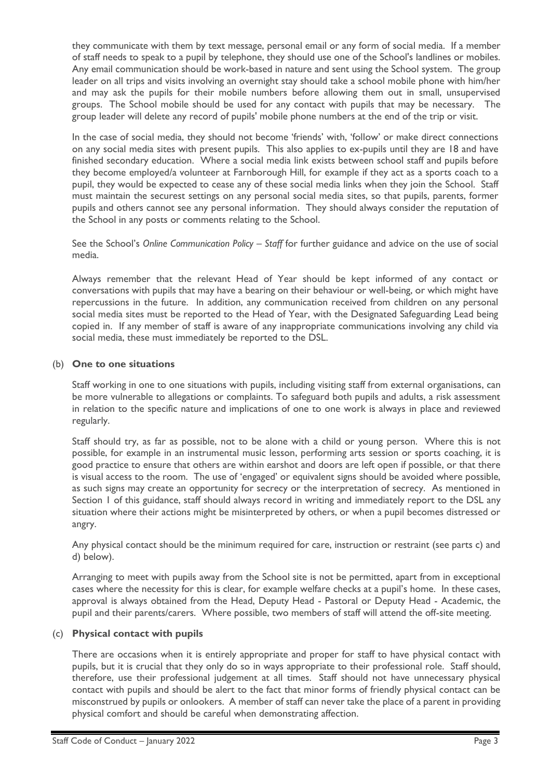they communicate with them by text message, personal email or any form of social media. If a member of staff needs to speak to a pupil by telephone, they should use one of the School's landlines or mobiles. Any email communication should be work-based in nature and sent using the School system. The group leader on all trips and visits involving an overnight stay should take a school mobile phone with him/her and may ask the pupils for their mobile numbers before allowing them out in small, unsupervised groups. The School mobile should be used for any contact with pupils that may be necessary. The group leader will delete any record of pupils' mobile phone numbers at the end of the trip or visit.

In the case of social media, they should not become 'friends' with, 'follow' or make direct connections on any social media sites with present pupils. This also applies to ex-pupils until they are 18 and have finished secondary education. Where a social media link exists between school staff and pupils before they become employed/a volunteer at Farnborough Hill, for example if they act as a sports coach to a pupil, they would be expected to cease any of these social media links when they join the School. Staff must maintain the securest settings on any personal social media sites, so that pupils, parents, former pupils and others cannot see any personal information. They should always consider the reputation of the School in any posts or comments relating to the School.

See the School's *Online Communication Policy – Staff* for further guidance and advice on the use of social media.

Always remember that the relevant Head of Year should be kept informed of any contact or conversations with pupils that may have a bearing on their behaviour or well-being, or which might have repercussions in the future. In addition, any communication received from children on any personal social media sites must be reported to the Head of Year, with the Designated Safeguarding Lead being copied in. If any member of staff is aware of any inappropriate communications involving any child via social media, these must immediately be reported to the DSL.

## (b) **One to one situations**

Staff working in one to one situations with pupils, including visiting staff from external organisations, can be more vulnerable to allegations or complaints. To safeguard both pupils and adults, a risk assessment in relation to the specific nature and implications of one to one work is always in place and reviewed regularly.

Staff should try, as far as possible, not to be alone with a child or young person. Where this is not possible, for example in an instrumental music lesson, performing arts session or sports coaching, it is good practice to ensure that others are within earshot and doors are left open if possible, or that there is visual access to the room. The use of 'engaged' or equivalent signs should be avoided where possible, as such signs may create an opportunity for secrecy or the interpretation of secrecy. As mentioned in Section 1 of this guidance, staff should always record in writing and immediately report to the DSL any situation where their actions might be misinterpreted by others, or when a pupil becomes distressed or angry.

Any physical contact should be the minimum required for care, instruction or restraint (see parts c) and d) below).

Arranging to meet with pupils away from the School site is not be permitted, apart from in exceptional cases where the necessity for this is clear, for example welfare checks at a pupil's home. In these cases, approval is always obtained from the Head, Deputy Head - Pastoral or Deputy Head - Academic, the pupil and their parents/carers. Where possible, two members of staff will attend the off-site meeting.

## (c) **Physical contact with pupils**

There are occasions when it is entirely appropriate and proper for staff to have physical contact with pupils, but it is crucial that they only do so in ways appropriate to their professional role. Staff should, therefore, use their professional judgement at all times. Staff should not have unnecessary physical contact with pupils and should be alert to the fact that minor forms of friendly physical contact can be misconstrued by pupils or onlookers. A member of staff can never take the place of a parent in providing physical comfort and should be careful when demonstrating affection.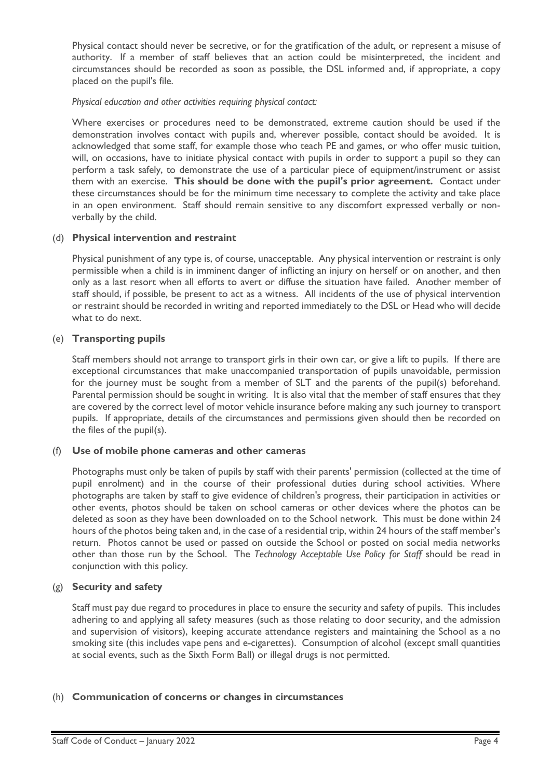Physical contact should never be secretive, or for the gratification of the adult, or represent a misuse of authority. If a member of staff believes that an action could be misinterpreted, the incident and circumstances should be recorded as soon as possible, the DSL informed and, if appropriate, a copy placed on the pupil's file.

#### *Physical education and other activities requiring physical contact:*

Where exercises or procedures need to be demonstrated, extreme caution should be used if the demonstration involves contact with pupils and, wherever possible, contact should be avoided. It is acknowledged that some staff, for example those who teach PE and games, or who offer music tuition, will, on occasions, have to initiate physical contact with pupils in order to support a pupil so they can perform a task safely, to demonstrate the use of a particular piece of equipment/instrument or assist them with an exercise. **This should be done with the pupil's prior agreement.** Contact under these circumstances should be for the minimum time necessary to complete the activity and take place in an open environment. Staff should remain sensitive to any discomfort expressed verbally or nonverbally by the child.

## (d) **Physical intervention and restraint**

Physical punishment of any type is, of course, unacceptable. Any physical intervention or restraint is only permissible when a child is in imminent danger of inflicting an injury on herself or on another, and then only as a last resort when all efforts to avert or diffuse the situation have failed. Another member of staff should, if possible, be present to act as a witness. All incidents of the use of physical intervention or restraint should be recorded in writing and reported immediately to the DSL or Head who will decide what to do next.

## (e) **Transporting pupils**

Staff members should not arrange to transport girls in their own car, or give a lift to pupils. If there are exceptional circumstances that make unaccompanied transportation of pupils unavoidable, permission for the journey must be sought from a member of SLT and the parents of the pupil(s) beforehand. Parental permission should be sought in writing. It is also vital that the member of staff ensures that they are covered by the correct level of motor vehicle insurance before making any such journey to transport pupils. If appropriate, details of the circumstances and permissions given should then be recorded on the files of the pupil(s).

## (f) **Use of mobile phone cameras and other cameras**

Photographs must only be taken of pupils by staff with their parents' permission (collected at the time of pupil enrolment) and in the course of their professional duties during school activities. Where photographs are taken by staff to give evidence of children's progress, their participation in activities or other events, photos should be taken on school cameras or other devices where the photos can be deleted as soon as they have been downloaded on to the School network. This must be done within 24 hours of the photos being taken and, in the case of a residential trip, within 24 hours of the staff member's return. Photos cannot be used or passed on outside the School or posted on social media networks other than those run by the School. The *Technology Acceptable Use Policy for Staff* should be read in conjunction with this policy.

## (g) **Security and safety**

Staff must pay due regard to procedures in place to ensure the security and safety of pupils. This includes adhering to and applying all safety measures (such as those relating to door security, and the admission and supervision of visitors), keeping accurate attendance registers and maintaining the School as a no smoking site (this includes vape pens and e-cigarettes). Consumption of alcohol (except small quantities at social events, such as the Sixth Form Ball) or illegal drugs is not permitted.

## (h) **Communication of concerns or changes in circumstances**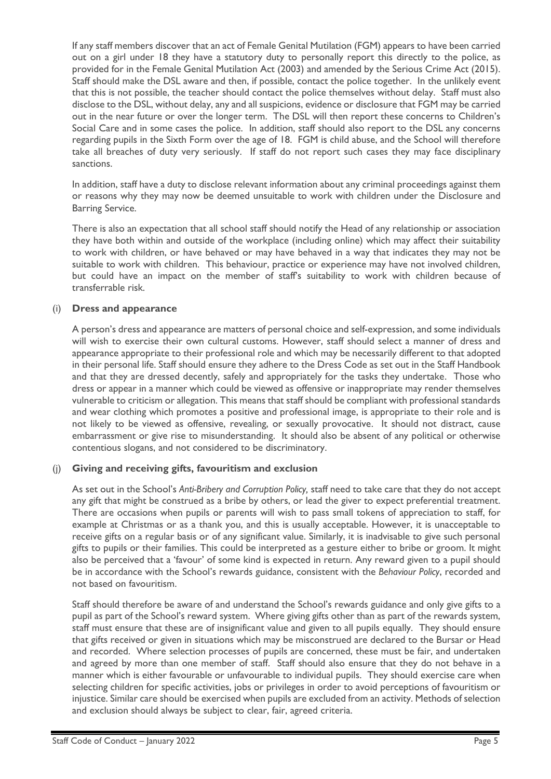If any staff members discover that an act of Female Genital Mutilation (FGM) appears to have been carried out on a girl under 18 they have a statutory duty to personally report this directly to the police, as provided for in the Female Genital Mutilation Act (2003) and amended by the Serious Crime Act (2015). Staff should make the DSL aware and then, if possible, contact the police together. In the unlikely event that this is not possible, the teacher should contact the police themselves without delay. Staff must also disclose to the DSL, without delay, any and all suspicions, evidence or disclosure that FGM may be carried out in the near future or over the longer term. The DSL will then report these concerns to Children's Social Care and in some cases the police. In addition, staff should also report to the DSL any concerns regarding pupils in the Sixth Form over the age of 18. FGM is child abuse, and the School will therefore take all breaches of duty very seriously. If staff do not report such cases they may face disciplinary sanctions.

In addition, staff have a duty to disclose relevant information about any criminal proceedings against them or reasons why they may now be deemed unsuitable to work with children under the Disclosure and Barring Service.

There is also an expectation that all school staff should notify the Head of any relationship or association they have both within and outside of the workplace (including online) which may affect their suitability to work with children, or have behaved or may have behaved in a way that indicates they may not be suitable to work with children. This behaviour, practice or experience may have not involved children, but could have an impact on the member of staff's suitability to work with children because of transferrable risk.

## (i) **Dress and appearance**

A person's dress and appearance are matters of personal choice and self-expression, and some individuals will wish to exercise their own cultural customs. However, staff should select a manner of dress and appearance appropriate to their professional role and which may be necessarily different to that adopted in their personal life. Staff should ensure they adhere to the Dress Code as set out in the Staff Handbook and that they are dressed decently, safely and appropriately for the tasks they undertake. Those who dress or appear in a manner which could be viewed as offensive or inappropriate may render themselves vulnerable to criticism or allegation. This means that staff should be compliant with professional standards and wear clothing which promotes a positive and professional image, is appropriate to their role and is not likely to be viewed as offensive, revealing, or sexually provocative. It should not distract, cause embarrassment or give rise to misunderstanding. It should also be absent of any political or otherwise contentious slogans, and not considered to be discriminatory.

#### (j) **Giving and receiving gifts, favouritism and exclusion**

As set out in the School's *Anti-Bribery and Corruption Policy,* staff need to take care that they do not accept any gift that might be construed as a bribe by others, or lead the giver to expect preferential treatment. There are occasions when pupils or parents will wish to pass small tokens of appreciation to staff, for example at Christmas or as a thank you, and this is usually acceptable. However, it is unacceptable to receive gifts on a regular basis or of any significant value. Similarly, it is inadvisable to give such personal gifts to pupils or their families. This could be interpreted as a gesture either to bribe or groom. It might also be perceived that a 'favour' of some kind is expected in return. Any reward given to a pupil should be in accordance with the School's rewards guidance, consistent with the *Behaviour Policy*, recorded and not based on favouritism.

Staff should therefore be aware of and understand the School's rewards guidance and only give gifts to a pupil as part of the School's reward system. Where giving gifts other than as part of the rewards system, staff must ensure that these are of insignificant value and given to all pupils equally. They should ensure that gifts received or given in situations which may be misconstrued are declared to the Bursar or Head and recorded. Where selection processes of pupils are concerned, these must be fair, and undertaken and agreed by more than one member of staff. Staff should also ensure that they do not behave in a manner which is either favourable or unfavourable to individual pupils. They should exercise care when selecting children for specific activities, jobs or privileges in order to avoid perceptions of favouritism or injustice. Similar care should be exercised when pupils are excluded from an activity. Methods of selection and exclusion should always be subject to clear, fair, agreed criteria.